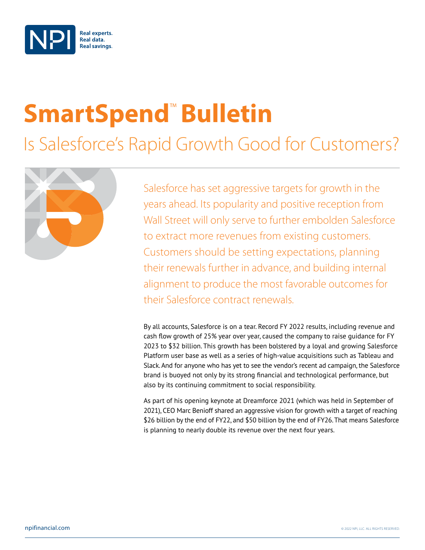

# **SmartSpend<sup>™</sup> Bulletin**

Is Salesforce's Rapid Growth Good for Customers?



Salesforce has set aggressive targets for growth in the years ahead. Its popularity and positive reception from Wall Street will only serve to further embolden Salesforce to extract more revenues from existing customers. Customers should be setting expectations, planning their renewals further in advance, and building internal alignment to produce the most favorable outcomes for their Salesforce contract renewals.

By all accounts, Salesforce is on a tear. Record FY 2022 results, including revenue and cash flow growth of 25% year over year, caused the company to raise guidance for FY 2023 to \$32 billion. This growth has been bolstered by a loyal and growing Salesforce Platform user base as well as a series of high-value acquisitions such as Tableau and Slack. And for anyone who has yet to see the vendor's recent ad campaign, the Salesforce brand is buoyed not only by its strong financial and technological performance, but also by its continuing commitment to social responsibility.

As part of his opening keynote at Dreamforce 2021 (which was held in September of 2021), CEO Marc Benioff shared an aggressive vision for growth with a target of reaching \$26 billion by the end of FY22, and \$50 billion by the end of FY26. That means Salesforce is planning to nearly double its revenue over the next four years.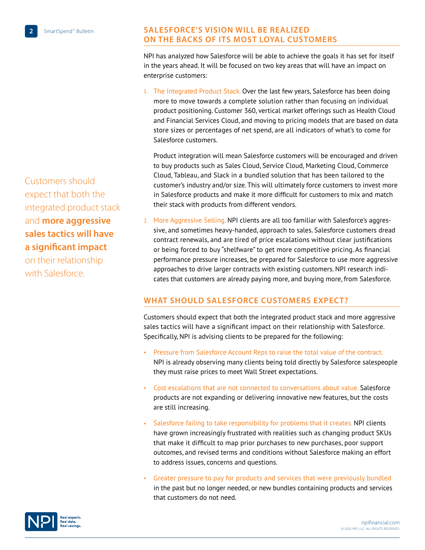## Customers should expect that both the integrated product stack and **more aggressive sales tactics will have a significant impact**

on their relationship with Salesforce.

#### **Salesforce's Vision Will Be Realized on the Backs of its Most Loyal Customers**

NPI has analyzed how Salesforce will be able to achieve the goals it has set for itself in the years ahead. It will be focused on two key areas that will have an impact on enterprise customers:

1. The Integrated Product Stack. Over the last few years, Salesforce has been doing more to move towards a complete solution rather than focusing on individual product positioning. Customer 360, vertical market offerings such as Health Cloud and Financial Services Cloud, and moving to pricing models that are based on data store sizes or percentages of net spend, are all indicators of what's to come for Salesforce customers.

Product integration will mean Salesforce customers will be encouraged and driven to buy products such as Sales Cloud, Service Cloud, Marketing Cloud, Commerce Cloud, Tableau, and Slack in a bundled solution that has been tailored to the customer's industry and/or size. This will ultimately force customers to invest more in Salesforce products and make it more difficult for customers to mix and match their stack with products from different vendors.

2. More Aggressive Selling. NPI clients are all too familiar with Salesforce's aggressive, and sometimes heavy-handed, approach to sales. Salesforce customers dread contract renewals, and are tired of price escalations without clear justifications or being forced to buy "shelfware" to get more competitive pricing. As financial performance pressure increases, be prepared for Salesforce to use more aggressive approaches to drive larger contracts with existing customers. NPI research indicates that customers are already paying more, and buying more, from Salesforce.

### **What Should Salesforce Customers Expect?**

Customers should expect that both the integrated product stack and more aggressive sales tactics will have a significant impact on their relationship with Salesforce. Specifically, NPI is advising clients to be prepared for the following:

- Pressure from Salesforce Account Reps to raise the total value of the contract. NPI is already observing many clients being told directly by Salesforce salespeople they must raise prices to meet Wall Street expectations.
- Cost escalations that are not connected to conversations about value. Salesforce products are not expanding or delivering innovative new features, but the costs are still increasing.
- Salesforce failing to take responsibility for problems that it creates. NPI clients have grown increasingly frustrated with realities such as changing product SKUs that make it difficult to map prior purchases to new purchases, poor support outcomes, and revised terms and conditions without Salesforce making an effort to address issues, concerns and questions.
- Greater pressure to pay for products and services that were previously bundled in the past but no longer needed, or new bundles containing products and services that customers do not need.

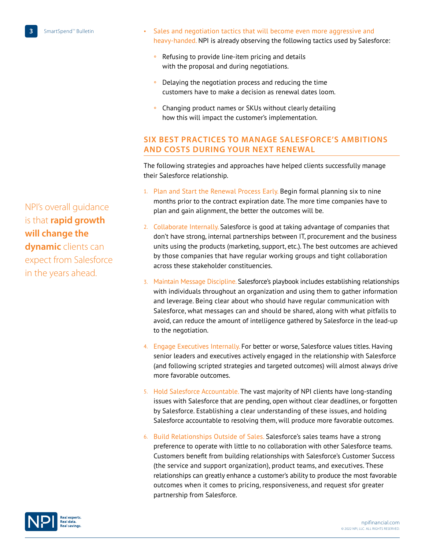NPI's overall guidance is that **rapid growth will change the dynamic** clients can expect from Salesforce in the years ahead.

- Sales and negotiation tactics that will become even more aggressive and heavy-handed. NPI is already observing the following tactics used by Salesforce:
	- Refusing to provide line-item pricing and details with the proposal and during negotiations.
	- ° Delaying the negotiation process and reducing the time customers have to make a decision as renewal dates loom.
	- ° Changing product names or SKUs without clearly detailing how this will impact the customer's implementation.

#### **Six Best Practices to Manage Salesforce's Ambitions and Costs During Your Next Renewal**

The following strategies and approaches have helped clients successfully manage their Salesforce relationship.

- 1. Plan and Start the Renewal Process Early. Begin formal planning six to nine months prior to the contract expiration date. The more time companies have to plan and gain alignment, the better the outcomes will be.
- 2. Collaborate Internally. Salesforce is good at taking advantage of companies that don't have strong, internal partnerships between IT, procurement and the business units using the products (marketing, support, etc.). The best outcomes are achieved by those companies that have regular working groups and tight collaboration across these stakeholder constituencies.
- 3. Maintain Message Discipline. Salesforce's playbook includes establishing relationships with individuals throughout an organization and using them to gather information and leverage. Being clear about who should have regular communication with Salesforce, what messages can and should be shared, along with what pitfalls to avoid, can reduce the amount of intelligence gathered by Salesforce in the lead-up to the negotiation.
- 4. Engage Executives Internally. For better or worse, Salesforce values titles. Having senior leaders and executives actively engaged in the relationship with Salesforce (and following scripted strategies and targeted outcomes) will almost always drive more favorable outcomes.
- 5. Hold Salesforce Accountable. The vast majority of NPI clients have long-standing issues with Salesforce that are pending, open without clear deadlines, or forgotten by Salesforce. Establishing a clear understanding of these issues, and holding Salesforce accountable to resolving them, will produce more favorable outcomes.
- 6. Build Relationships Outside of Sales. Salesforce's sales teams have a strong preference to operate with little to no collaboration with other Salesforce teams. Customers benefit from building relationships with Salesforce's Customer Success (the service and support organization), product teams, and executives. These relationships can greatly enhance a customer's ability to produce the most favorable outcomes when it comes to pricing, responsiveness, and request sfor greater partnership from Salesforce.